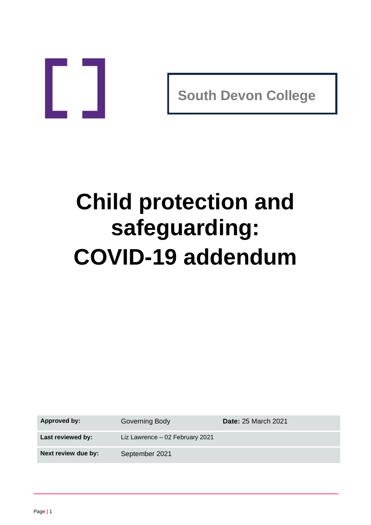

**South Devon College**

# **Child protection and safeguarding: COVID-19 addendum**

**Approved by:** Governing Body **Date:** 25 March 2021

**Last reviewed by:** Liz Lawrence – 02 February 2021

**Next review due by:** September 2021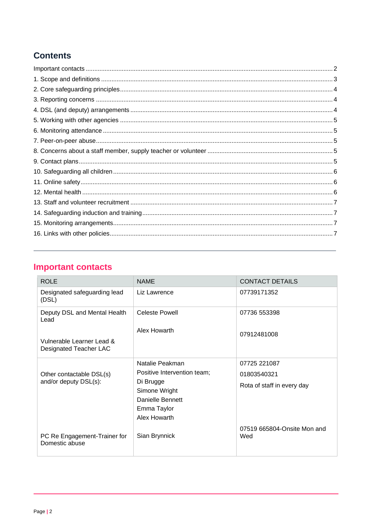## **Contents**

# <span id="page-1-0"></span>**Important contacts**

| <b>ROLE</b>                                         | <b>NAME</b>                                                                                                                     | <b>CONTACT DETAILS</b>                                    |
|-----------------------------------------------------|---------------------------------------------------------------------------------------------------------------------------------|-----------------------------------------------------------|
| Designated safeguarding lead<br>(DSL)               | Liz Lawrence                                                                                                                    | 07739171352                                               |
| Deputy DSL and Mental Health<br>Lead                | <b>Celeste Powell</b>                                                                                                           | 07736 553398                                              |
| Vulnerable Learner Lead &<br>Designated Teacher LAC | Alex Howarth                                                                                                                    | 07912481008                                               |
| Other contactable DSL(s)<br>and/or deputy DSL(s):   | Natalie Peakman<br>Positive Intervention team;<br>Di Brugge<br>Simone Wright<br>Danielle Bennett<br>Emma Taylor<br>Alex Howarth | 07725 221087<br>01803540321<br>Rota of staff in every day |
| PC Re Engagement-Trainer for<br>Domestic abuse      | Sian Brynnick                                                                                                                   | 07519 665804-Onsite Mon and<br>Wed                        |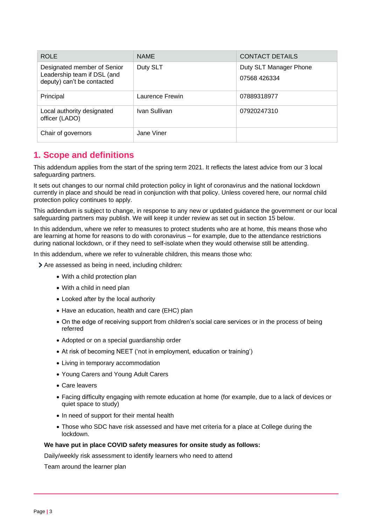| <b>ROLE</b>                                                                              | <b>NAME</b>     | <b>CONTACT DETAILS</b>                 |
|------------------------------------------------------------------------------------------|-----------------|----------------------------------------|
| Designated member of Senior<br>Leadership team if DSL (and<br>deputy) can't be contacted | Duty SLT        | Duty SLT Manager Phone<br>07568 426334 |
| Principal                                                                                | Laurence Frewin | 07889318977                            |
| Local authority designated<br>officer (LADO)                                             | Ivan Sullivan   | 07920247310                            |
| Chair of governors                                                                       | Jane Viner      |                                        |

## <span id="page-2-0"></span>**1. Scope and definitions**

This addendum applies from the start of the spring term 2021. It reflects the latest advice from our 3 local safeguarding partners.

It sets out changes to our normal child protection policy in light of coronavirus and the national lockdown currently in place and should be read in conjunction with that policy. Unless covered here, our normal child protection policy continues to apply.

This addendum is subject to change, in response to any new or updated guidance the government or our local safeguarding partners may publish. We will keep it under review as set out in section 15 below.

In this addendum, where we refer to measures to protect students who are at home, this means those who are learning at home for reasons to do with coronavirus – for example, due to the attendance restrictions during national lockdown, or if they need to self-isolate when they would otherwise still be attending.

In this addendum, where we refer to vulnerable children, this means those who:

> Are assessed as being in need, including children:

- With a child protection plan
- With a child in need plan
- Looked after by the local authority
- Have an education, health and care (EHC) plan
- On the edge of receiving support from children's social care services or in the process of being referred
- Adopted or on a special guardianship order
- At risk of becoming NEET ('not in employment, education or training')
- Living in temporary accommodation
- Young Carers and Young Adult Carers
- Care leavers
- Facing difficulty engaging with remote education at home (for example, due to a lack of devices or quiet space to study)
- In need of support for their mental health
- Those who SDC have risk assessed and have met criteria for a place at College during the lockdown.

#### **We have put in place COVID safety measures for onsite study as follows:**

Daily/weekly risk assessment to identify learners who need to attend

Team around the learner plan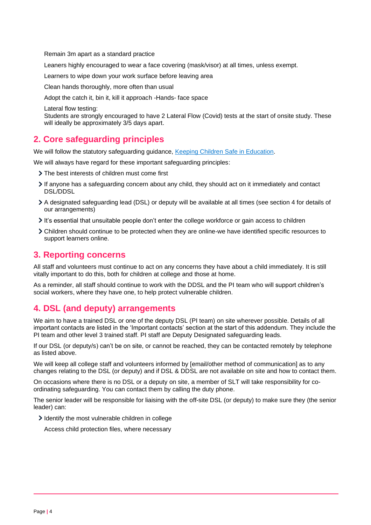Remain 3m apart as a standard practice

Leaners highly encouraged to wear a face covering (mask/visor) at all times, unless exempt.

Learners to wipe down your work surface before leaving area

Clean hands thoroughly, more often than usual

Adopt the catch it, bin it, kill it approach -Hands- face space

Lateral flow testing:

Students are strongly encouraged to have 2 Lateral Flow (Covid) tests at the start of onsite study. These will ideally be approximately 3/5 days apart.

## <span id="page-3-0"></span>**2. Core safeguarding principles**

We will follow the statutory safeguarding guidance, [Keeping Children Safe in Education.](https://www.gov.uk/government/publications/keeping-children-safe-in-education--2)

We will always have regard for these important safeguarding principles:

- > The best interests of children must come first
- If anyone has a safeguarding concern about any child, they should act on it immediately and contact DSL/DDSL
- A designated safeguarding lead (DSL) or deputy will be available at all times (see section 4 for details of our arrangements)
- It's essential that unsuitable people don't enter the college workforce or gain access to children
- Children should continue to be protected when they are online-we have identified specific resources to support learners online.

## <span id="page-3-1"></span>**3. Reporting concerns**

All staff and volunteers must continue to act on any concerns they have about a child immediately. It is still vitally important to do this, both for children at college and those at home.

As a reminder, all staff should continue to work with the DDSL and the PI team who will support children's social workers, where they have one, to help protect vulnerable children.

## <span id="page-3-2"></span>**4. DSL (and deputy) arrangements**

We aim to have a trained DSL or one of the deputy DSL (PI team) on site wherever possible. Details of all important contacts are listed in the 'Important contacts' section at the start of this addendum. They include the PI team and other level 3 trained staff. PI staff are Deputy Designated safeguarding leads.

If our DSL (or deputy/s) can't be on site, or cannot be reached, they can be contacted remotely by telephone as listed above.

We will keep all college staff and volunteers informed by [email/other method of communication] as to any changes relating to the DSL (or deputy) and if DSL & DDSL are not available on site and how to contact them.

On occasions where there is no DSL or a deputy on site, a member of SLT will take responsibility for coordinating safeguarding. You can contact them by calling the duty phone.

The senior leader will be responsible for liaising with the off-site DSL (or deputy) to make sure they (the senior leader) can:

I dentify the most vulnerable children in college

Access child protection files, where necessary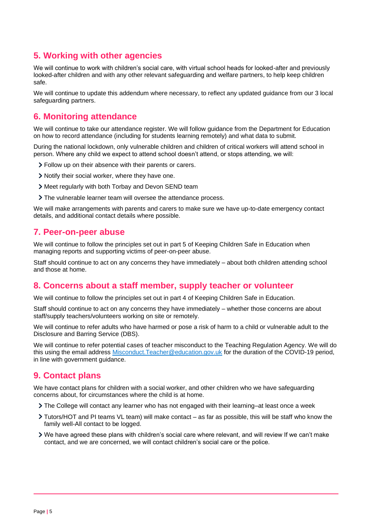## <span id="page-4-0"></span>**5. Working with other agencies**

We will continue to work with children's social care, with virtual school heads for looked-after and previously looked-after children and with any other relevant safeguarding and welfare partners, to help keep children safe.

We will continue to update this addendum where necessary, to reflect any updated guidance from our 3 local safeguarding partners.

## <span id="page-4-1"></span>**6. Monitoring attendance**

We will continue to take our attendance register. We will follow guidance from the Department for Education on how to record attendance (including for students learning remotely) and what data to submit.

During the national lockdown, only vulnerable children and children of critical workers will attend school in person. Where any child we expect to attend school doesn't attend, or stops attending, we will:

- Follow up on their absence with their parents or carers.
- Notify their social worker, where they have one.
- Meet regularly with both Torbay and Devon SEND team
- The vulnerable learner team will oversee the attendance process.

We will make arrangements with parents and carers to make sure we have up-to-date emergency contact details, and additional contact details where possible.

## <span id="page-4-2"></span>**7. Peer-on-peer abuse**

We will continue to follow the principles set out in part 5 of Keeping Children Safe in Education when managing reports and supporting victims of peer-on-peer abuse.

Staff should continue to act on any concerns they have immediately – about both children attending school and those at home.

## <span id="page-4-3"></span>**8. Concerns about a staff member, supply teacher or volunteer**

We will continue to follow the principles set out in part 4 of Keeping Children Safe in Education.

Staff should continue to act on any concerns they have immediately – whether those concerns are about staff/supply teachers/volunteers working on site or remotely.

We will continue to refer adults who have harmed or pose a risk of harm to a child or vulnerable adult to the Disclosure and Barring Service (DBS).

We will continue to refer potential cases of teacher misconduct to the Teaching Regulation Agency. We will do this using the email address Misconduct. Teacher@education.gov.uk for the duration of the COVID-19 period, in line with government quidance.

## <span id="page-4-4"></span>**9. Contact plans**

We have contact plans for children with a social worker, and other children who we have safeguarding concerns about, for circumstances where the child is at home.

- The College will contact any learner who has not engaged with their learning–at least once a week
- Tutors/HOT and PI teams VL team) will make contact as far as possible, this will be staff who know the family well-All contact to be logged.
- We have agreed these plans with children's social care where relevant, and will review If we can't make contact, and we are concerned, we will contact children's social care or the police.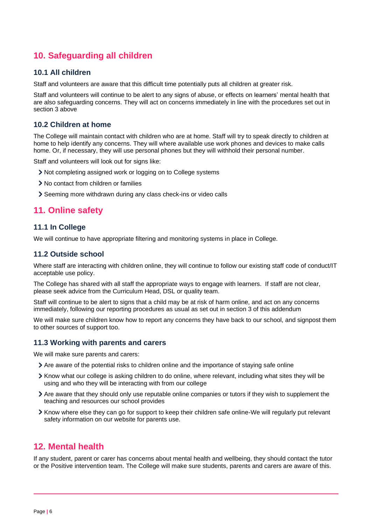## <span id="page-5-0"></span>**10. Safeguarding all children**

#### **10.1 All children**

Staff and volunteers are aware that this difficult time potentially puts all children at greater risk.

Staff and volunteers will continue to be alert to any signs of abuse, or effects on learners' mental health that are also safeguarding concerns. They will act on concerns immediately in line with the procedures set out in section 3 above

#### **10.2 Children at home**

The College will maintain contact with children who are at home. Staff will try to speak directly to children at home to help identify any concerns. They will where available use work phones and devices to make calls home. Or, if necessary, they will use personal phones but they will withhold their personal number.

Staff and volunteers will look out for signs like:

- Not completing assigned work or logging on to College systems
- > No contact from children or families
- Seeming more withdrawn during any class check-ins or video calls

## <span id="page-5-1"></span>**11. Online safety**

#### **11.1 In College**

We will continue to have appropriate filtering and monitoring systems in place in College.

#### **11.2 Outside school**

Where staff are interacting with children online, they will continue to follow our existing staff code of conduct/IT acceptable use policy.

The College has shared with all staff the appropriate ways to engage with learners. If staff are not clear, please seek advice from the Curriculum Head, DSL or quality team.

Staff will continue to be alert to signs that a child may be at risk of harm online, and act on any concerns immediately, following our reporting procedures as usual as set out in section 3 of this addendum

We will make sure children know how to report any concerns they have back to our school, and signpost them to other sources of support too.

#### **11.3 Working with parents and carers**

We will make sure parents and carers:

- Are aware of the potential risks to children online and the importance of staying safe online
- Know what our college is asking children to do online, where relevant, including what sites they will be using and who they will be interacting with from our college
- Are aware that they should only use reputable online companies or tutors if they wish to supplement the teaching and resources our school provides
- Know where else they can go for support to keep their children safe online-We will regularly put relevant safety information on our website for parents use.

## <span id="page-5-2"></span>**12. Mental health**

If any student, parent or carer has concerns about mental health and wellbeing, they should contact the tutor or the Positive intervention team. The College will make sure students, parents and carers are aware of this.